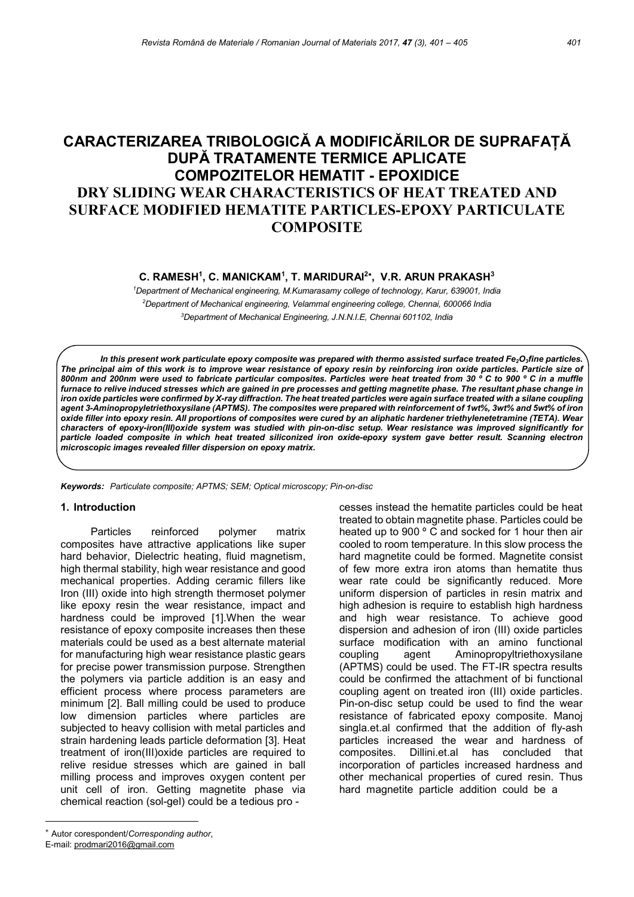# CARACTERIZAREA TRIBOLOGICĂ A MODIFICĂRILOR DE SUPRAFAȚĂ DUPĂ TRATAMENTE TERMICE APLICATE COMPOZITELOR HEMATIT - EPOXIDICE DRY SLIDING WEAR CHARACTERISTICS OF HEAT TREATED AND SURFACE MODIFIED HEMATITE PARTICLES-EPOXY PARTICULATE **COMPOSITE**

### C. RAMESH<sup>1</sup>, C. MANICKAM<sup>1</sup>, T. MARIDURAI<sup>2</sup>\*, V.R. ARUN PRAKASH<sup>3</sup>

<sup>1</sup>Department of Mechanical engineering, M.Kumarasamy college of technology, Karur, 639001, India <sup>2</sup>Department of Mechanical engineering, Velammal engineering college, Chennai, 600066 India <sup>3</sup>Department of Mechanical Engineering, J.N.N.I.E, Chennai 601102, India

In this present work particulate epoxy composite was prepared with thermo assisted surface treated Fe $_2$ O $_3$ fine particles. The principal aim of this work is to improve wear resistance of epoxy resin by reinforcing iron oxide particles. Particle size of 800nm and 200nm were used to fabricate particular composites. Particles were heat treated from 30 ° C to 900 ° C in a muffle furnace to relive induced stresses which are gained in pre processes and getting magnetite phase. The resultant phase change in iron oxide particles were confirmed by X-ray diffraction. The heat treated particles were again surface treated with a silane coupling agent 3-Aminopropyletriethoxysilane (APTMS). The composites were prepared with reinforcement of 1wt%, 3wt% and 5wt% of iron oxide filler into epoxy resin. All proportions of composites were cured by an aliphatic hardener triethylenetetramine (TETA). Wear characters of epoxy-iron(III)oxide system was studied with pin-on-disc setup. Wear resistance was improved significantly for particle loaded composite in which heat treated siliconized iron oxide-epoxy system gave better result. Scanning electron microscopic images revealed filler dispersion on epoxy matrix.

Keywords: Particulate composite; APTMS; SEM; Optical microscopy; Pin-on-disc

#### 1. Introduction

Particles reinforced polymer matrix composites have attractive applications like super hard behavior, Dielectric heating, fluid magnetism, high thermal stability, high wear resistance and good mechanical properties. Adding ceramic fillers like Iron (III) oxide into high strength thermoset polymer like epoxy resin the wear resistance, impact and hardness could be improved [1].When the wear resistance of epoxy composite increases then these materials could be used as a best alternate material for manufacturing high wear resistance plastic gears for precise power transmission purpose. Strengthen the polymers via particle addition is an easy and efficient process where process parameters are minimum [2]. Ball milling could be used to produce low dimension particles where particles are subjected to heavy collision with metal particles and strain hardening leads particle deformation [3]. Heat treatment of iron(III)oxide particles are required to relive residue stresses which are gained in ball milling process and improves oxygen content per unit cell of iron. Getting magnetite phase via chemical reaction (sol-gel) could be a tedious pro -

 cesses instead the hematite particles could be heat treated to obtain magnetite phase. Particles could be heated up to 900 ° C and socked for 1 hour then air cooled to room temperature. In this slow process the hard magnetite could be formed. Magnetite consist of few more extra iron atoms than hematite thus wear rate could be significantly reduced. More uniform dispersion of particles in resin matrix and high adhesion is require to establish high hardness and high wear resistance. To achieve good dispersion and adhesion of iron (III) oxide particles surface modification with an amino functional coupling agent Aminopropyltriethoxysilane (APTMS) could be used. The FT-IR spectra results could be confirmed the attachment of bi functional coupling agent on treated iron (III) oxide particles. Pin-on-disc setup could be used to find the wear resistance of fabricated epoxy composite. Manoj singla.et.al confirmed that the addition of fly-ash particles increased the wear and hardness of composites. Dillini.et.al has concluded that incorporation of particles increased hardness and other mechanical properties of cured resin. Thus hard magnetite particle addition could be a

Autor corespondent/Corresponding author,

E-mail: prodmari2016@gmail.com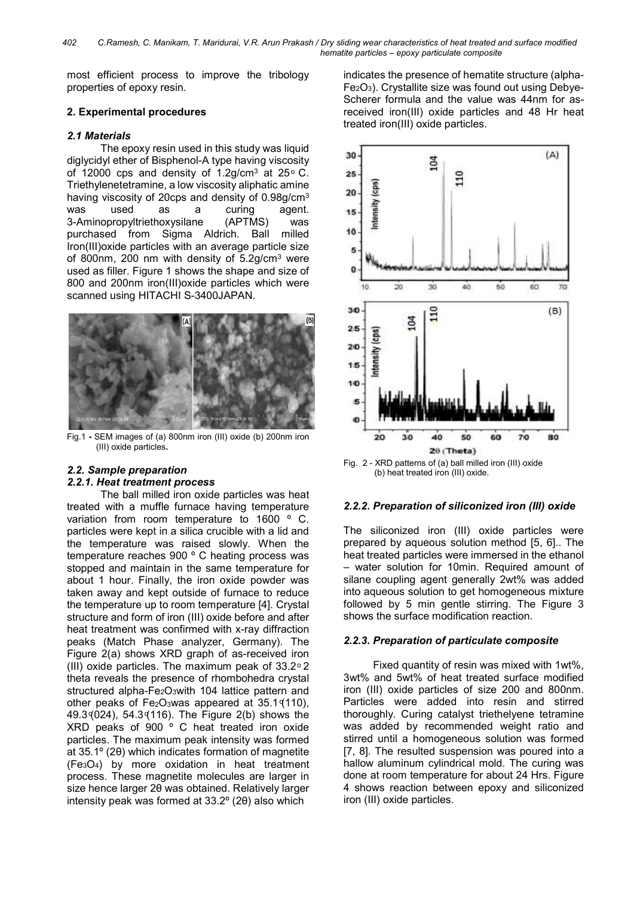most efficient process to improve the tribology properties of epoxy resin.

### 2. Experimental procedures

#### 2.1 Materials

The epoxy resin used in this study was liquid diglycidyl ether of Bisphenol-A type having viscosity of 12000 cps and density of 1.2g/cm<sup>3</sup> at 25 $\degree$  C. Triethylenetetramine, a low viscosity aliphatic amine having viscosity of 20cps and density of 0.98g/cm<sup>3</sup> was used as a curing agent. 3-Aminopropyltriethoxysilane (APTMS) was purchased from Sigma Aldrich. Ball milled Iron(III)oxide particles with an average particle size of 800nm, 200 nm with density of 5.2g/cm<sup>3</sup> were used as filler. Figure 1 shows the shape and size of 800 and 200nm iron(III)oxide particles which were scanned using HITACHI S-3400JAPAN.



Fig.1 - SEM images of (a) 800nm iron (III) oxide (b) 200nm iron (III) oxide particles.

## 2.2. Sample preparation

### 2.2.1. Heat treatment process

The ball milled iron oxide particles was heat treated with a muffle furnace having temperature variation from room temperature to 1600 º C. particles were kept in a silica crucible with a lid and the temperature was raised slowly. When the temperature reaches 900 º C heating process was stopped and maintain in the same temperature for about 1 hour. Finally, the iron oxide powder was taken away and kept outside of furnace to reduce the temperature up to room temperature [4]. Crystal structure and form of iron (III) oxide before and after heat treatment was confirmed with x-ray diffraction peaks (Match Phase analyzer, Germany). The Figure 2(a) shows XRD graph of as-received iron (III) oxide particles. The maximum peak of  $33.2^{\circ}$  2 theta reveals the presence of rhombohedra crystal structured alpha-Fe<sub>2</sub>O<sub>3</sub>with 104 lattice pattern and other peaks of  $Fe<sub>2</sub>O<sub>3</sub>$ was appeared at 35.1 $(110)$ , 49.3 (024), 54.3 (116). The Figure 2(b) shows the XRD peaks of 900 º C heat treated iron oxide particles. The maximum peak intensity was formed at 35.1º (2θ) which indicates formation of magnetite (Fe3O4) by more oxidation in heat treatment process. These magnetite molecules are larger in size hence larger 2θ was obtained. Relatively larger intensity peak was formed at 33.2º (2θ) also which

 indicates the presence of hematite structure (alpha-Fe2O3). Crystallite size was found out using Debye-Scherer formula and the value was 44nm for asreceived iron(III) oxide particles and 48 Hr heat treated iron(III) oxide particles.



Fig. 2 - XRD patterns of (a) ball milled iron (III) oxide (b) heat treated iron (III) oxide.

### 2.2.2. Preparation of siliconized iron (III) oxide

The siliconized iron (III) oxide particles were prepared by aqueous solution method [5, 6].. The heat treated particles were immersed in the ethanol – water solution for 10min. Required amount of silane coupling agent generally 2wt% was added into aqueous solution to get homogeneous mixture followed by 5 min gentle stirring. The Figure 3 shows the surface modification reaction.

### 2.2.3. Preparation of particulate composite

 Fixed quantity of resin was mixed with 1wt%, 3wt% and 5wt% of heat treated surface modified iron (III) oxide particles of size 200 and 800nm. Particles were added into resin and stirred thoroughly. Curing catalyst triethelyene tetramine was added by recommended weight ratio and stirred until a homogeneous solution was formed [7, 8]. The resulted suspension was poured into a hallow aluminum cylindrical mold. The curing was done at room temperature for about 24 Hrs. Figure 4 shows reaction between epoxy and siliconized iron (III) oxide particles.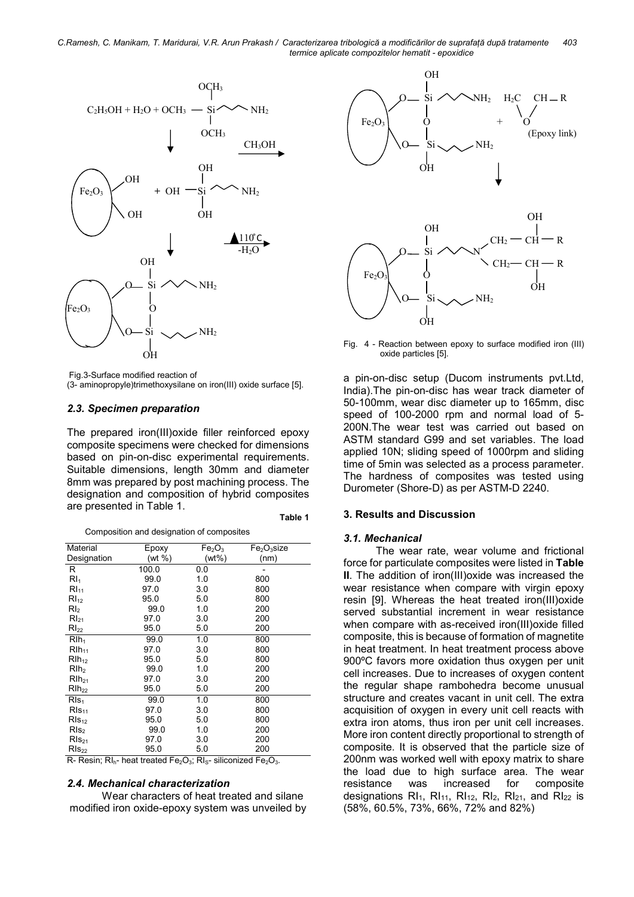C.Ramesh, C. Manikam, T. Maridurai, V.R. Arun Prakash / Caracterizarea tribologică a modificărilor de suprafață după tratamente 403 termice aplicate compozitelor hematit - epoxidice



Fig.3-Surface modified reaction of

(3- aminopropyle)trimethoxysilane on iron(III) oxide surface [5].

#### 2.3. Specimen preparation

The prepared iron(III)oxide filler reinforced epoxy composite specimens were checked for dimensions based on pin-on-disc experimental requirements. Suitable dimensions, length 30mm and diameter 8mm was prepared by post machining process. The designation and composition of hybrid composites are presented in Table 1.

| Table 1 |  |
|---------|--|
|---------|--|

|  |  | Composition and designation of composites |
|--|--|-------------------------------------------|
|  |  |                                           |

| Material         | Epoxy  | Fe <sub>2</sub> O <sub>3</sub> | Fe <sub>2</sub> O <sub>3</sub> size |
|------------------|--------|--------------------------------|-------------------------------------|
| Designation      | (wt %) | (wt%)                          | (nm)                                |
| R                | 100.0  | 0.0                            |                                     |
| Rl <sub>1</sub>  | 99.0   | 1.0                            | 800                                 |
| RI <sub>11</sub> | 97.0   | 3.0                            | 800                                 |
| RI <sub>12</sub> | 95.0   | 5.0                            | 800                                 |
| Rl <sub>2</sub>  | 99.0   | 1.0                            | 200                                 |
| $RI_{21}$        | 97.0   | 3.0                            | 200                                 |
| $RI_{22}$        | 95.0   | 5.0                            | 200                                 |
| $Rlh_1$          | 99.0   | 1.0                            | 800                                 |
| $Rlh_{11}$       | 97.0   | 3.0                            | 800                                 |
| $RIh_{12}$       | 95.0   | 5.0                            | 800                                 |
| Rlh <sub>2</sub> | 99.0   | 1.0                            | 200                                 |
| $RIh_{21}$       | 97.0   | 3.0                            | 200                                 |
| $R1h_{22}$       | 95.0   | 5.0                            | 200                                 |
| RIs <sub>1</sub> | 99.0   | 1.0                            | 800                                 |
| $RIs_{11}$       | 97.0   | 3.0                            | 800                                 |
| $RIs_{12}$       | 95.0   | 5.0                            | 800                                 |
| RIs <sub>2</sub> | 99.0   | 1.0                            | 200                                 |
| $RIs_{21}$       | 97.0   | 3.0                            | 200                                 |
| $RIs_{22}$       | 95.0   | 5.0                            | 200                                 |

 $R-$  Resin;  $RI_{h}$ - heat treated Fe<sub>2</sub>O<sub>3</sub>; RI<sub>S</sub>- siliconized Fe<sub>2</sub>O<sub>3</sub>.

#### 2.4. Mechanical characterization

 Wear characters of heat treated and silane modified iron oxide-epoxy system was unveiled by



Fig. 4 - Reaction between epoxy to surface modified iron (III) oxide particles [5].

a pin-on-disc setup (Ducom instruments pvt.Ltd, India).The pin-on-disc has wear track diameter of 50-100mm, wear disc diameter up to 165mm, disc speed of 100-2000 rpm and normal load of 5- 200N.The wear test was carried out based on ASTM standard G99 and set variables. The load applied 10N; sliding speed of 1000rpm and sliding time of 5min was selected as a process parameter. The hardness of composites was tested using Durometer (Shore-D) as per ASTM-D 2240.

#### 3. Results and Discussion

#### 3.1. Mechanical

 The wear rate, wear volume and frictional force for particulate composites were listed in Table II. The addition of iron(III)oxide was increased the wear resistance when compare with virgin epoxy resin [9]. Whereas the heat treated iron(III)oxide served substantial increment in wear resistance when compare with as-received iron(III)oxide filled composite, this is because of formation of magnetite in heat treatment. In heat treatment process above 900ºC favors more oxidation thus oxygen per unit cell increases. Due to increases of oxygen content the regular shape rambohedra become unusual structure and creates vacant in unit cell. The extra acquisition of oxygen in every unit cell reacts with extra iron atoms, thus iron per unit cell increases. More iron content directly proportional to strength of composite. It is observed that the particle size of 200nm was worked well with epoxy matrix to share the load due to high surface area. The wear resistance was increased for composite designations  $RI<sub>1</sub>$ ,  $RI<sub>11</sub>$ ,  $RI<sub>12</sub>$ ,  $RI<sub>21</sub>$ , and  $RI<sub>22</sub>$  is (58%, 60.5%, 73%, 66%, 72% and 82%)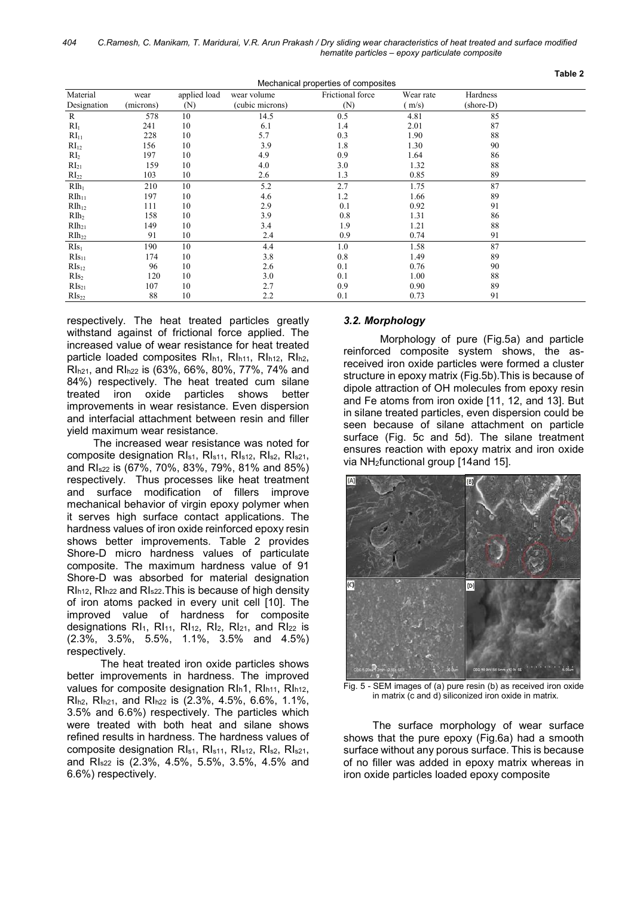| Mechanical properties of composites |           |              |                 |                  |           |           |  |
|-------------------------------------|-----------|--------------|-----------------|------------------|-----------|-----------|--|
| Material                            | wear      | applied load | wear volume     | Frictional force | Wear rate | Hardness  |  |
| Designation                         | (microns) | (N)          | (cubic microns) | (N)              | (m/s)     | (shore-D) |  |
| $\mathbb{R}$                        | 578       | 10           | 14.5            | 0.5              | 4.81      | 85        |  |
| RI <sub>1</sub>                     | 241       | 10           | 6.1             | 1.4              | 2.01      | 87        |  |
| RI <sub>11</sub>                    | 228       | 10           | 5.7             | 0.3              | 1.90      | 88        |  |
| RI <sub>12</sub>                    | 156       | 10           | 3.9             | 1.8              | 1.30      | 90        |  |
| $\rm{RI}_2$                         | 197       | 10           | 4.9             | 0.9              | 1.64      | 86        |  |
| $RI_{21}$                           | 159       | 10           | 4.0             | 3.0              | 1.32      | 88        |  |
| RI <sub>22</sub>                    | 103       | 10           | 2.6             | 1.3              | 0.85      | 89        |  |
| $RIh_1$                             | 210       | 10           | 5.2             | 2.7              | 1.75      | 87        |  |
| $RIh_{11}$                          | 197       | 10           | 4.6             | 1.2              | 1.66      | 89        |  |
| RII <sub>12</sub>                   | 111       | 10           | 2.9             | 0.1              | 0.92      | 91        |  |
| $R_{1h2}$                           | 158       | 10           | 3.9             | 0.8              | 1.31      | 86        |  |
| $RII_{21}$                          | 149       | 10           | 3.4             | 1.9              | 1.21      | 88        |  |
| RII <sub>22</sub>                   | 91        | 10           | 2.4             | 0.9              | 0.74      | 91        |  |
| $RIs_1$                             | 190       | 10           | 4.4             | 1.0              | 1.58      | 87        |  |
| $RIs_{11}$                          | 174       | 10           | 3.8             | 0.8              | 1.49      | 89        |  |
| $RIs_{12}$                          | 96        | 10           | 2.6             | 0.1              | 0.76      | 90        |  |
| RIs <sub>2</sub>                    | 120       | 10           | 3.0             | 0.1              | 1.00      | 88        |  |
| $RIs_{21}$                          | 107       | 10           | 2.7             | 0.9              | 0.90      | 89        |  |
| $RIs_{22}$                          | 88        | 10           | 2.2             | 0.1              | 0.73      | 91        |  |

respectively. The heat treated particles greatly withstand against of frictional force applied. The increased value of wear resistance for heat treated particle loaded composites RI<sub>h1</sub>, RI<sub>h11</sub>, RI<sub>h12</sub>, RI<sub>h2</sub>, RIh21, and RIh22 is (63%, 66%, 80%, 77%, 74% and 84%) respectively. The heat treated cum silane treated iron oxide particles shows better improvements in wear resistance. Even dispersion and interfacial attachment between resin and filler yield maximum wear resistance.

 The increased wear resistance was noted for composite designation RI<sub>s1</sub>, RI<sub>s11</sub>, RI<sub>s12</sub>, RI<sub>s21</sub>, RI<sub>s21</sub>, and RIs22 is (67%, 70%, 83%, 79%, 81% and 85%) respectively. Thus processes like heat treatment and surface modification of fillers improve mechanical behavior of virgin epoxy polymer when it serves high surface contact applications. The hardness values of iron oxide reinforced epoxy resin shows better improvements. Table 2 provides Shore-D micro hardness values of particulate composite. The maximum hardness value of 91 Shore-D was absorbed for material designation RIh12, RIh22 and RIs22.This is because of high density of iron atoms packed in every unit cell [10]. The improved value of hardness for composite designations  $RI<sub>1</sub>$ ,  $RI<sub>11</sub>$ ,  $RI<sub>12</sub>$ ,  $RI<sub>2</sub>$ ,  $RI<sub>21</sub>$ , and  $RI<sub>22</sub>$  is (2.3%, 3.5%, 5.5%, 1.1%, 3.5% and 4.5%) respectively.

The heat treated iron oxide particles shows better improvements in hardness. The improved values for composite designation RI<sub>h</sub>1, RI<sub>h11</sub>, RI<sub>h12</sub>, RIh2, RIh21, and RIh22 is (2.3%, 4.5%, 6.6%, 1.1%, 3.5% and 6.6%) respectively. The particles which were treated with both heat and silane shows refined results in hardness. The hardness values of composite designation RIs1, RIs11, RIs12, RIs2, RIs21, and RIs22 is (2.3%, 4.5%, 5.5%, 3.5%, 4.5% and 6.6%) respectively.

### 3.2. Morphology

Morphology of pure (Fig.5a) and particle reinforced composite system shows, the asreceived iron oxide particles were formed a cluster structure in epoxy matrix (Fig.5b).This is because of dipole attraction of OH molecules from epoxy resin and Fe atoms from iron oxide [11, 12, and 13]. But in silane treated particles, even dispersion could be seen because of silane attachment on particle surface (Fig. 5c and 5d). The silane treatment ensures reaction with epoxy matrix and iron oxide via NH2functional group [14and 15].

Table 2



Fig. 5 - SEM images of (a) pure resin (b) as received iron oxide in matrix (c and d) siliconized iron oxide in matrix.

The surface morphology of wear surface shows that the pure epoxy (Fig.6a) had a smooth surface without any porous surface. This is because of no filler was added in epoxy matrix whereas in iron oxide particles loaded epoxy composite